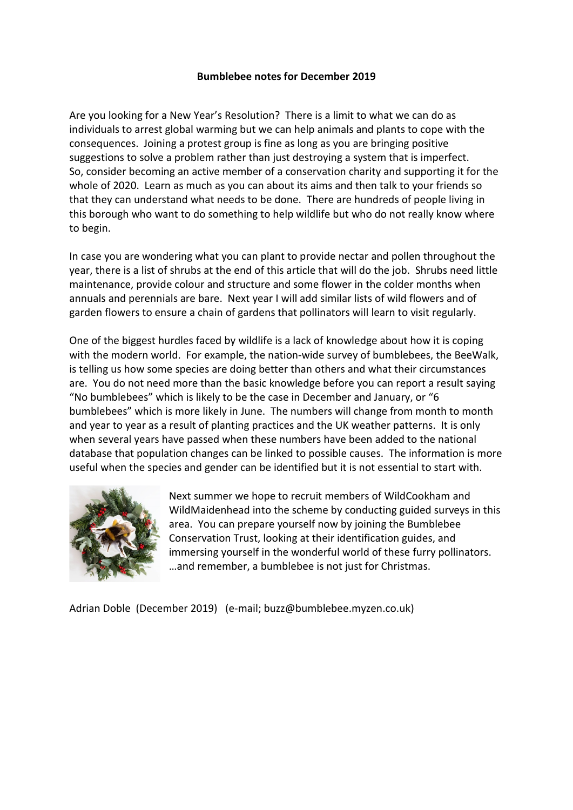## **Bumblebee notes for December 2019**

Are you looking for a New Year's Resolution? There is a limit to what we can do as individuals to arrest global warming but we can help animals and plants to cope with the consequences. Joining a protest group is fine as long as you are bringing positive suggestions to solve a problem rather than just destroying a system that is imperfect. So, consider becoming an active member of a conservation charity and supporting it for the whole of 2020. Learn as much as you can about its aims and then talk to your friends so that they can understand what needs to be done. There are hundreds of people living in this borough who want to do something to help wildlife but who do not really know where to begin.

In case you are wondering what you can plant to provide nectar and pollen throughout the year, there is a list of shrubs at the end of this article that will do the job. Shrubs need little maintenance, provide colour and structure and some flower in the colder months when annuals and perennials are bare. Next year I will add similar lists of wild flowers and of garden flowers to ensure a chain of gardens that pollinators will learn to visit regularly.

One of the biggest hurdles faced by wildlife is a lack of knowledge about how it is coping with the modern world. For example, the nation-wide survey of bumblebees, the BeeWalk, is telling us how some species are doing better than others and what their circumstances are. You do not need more than the basic knowledge before you can report a result saying "No bumblebees" which is likely to be the case in December and January, or "6 bumblebees" which is more likely in June. The numbers will change from month to month and year to year as a result of planting practices and the UK weather patterns. It is only when several years have passed when these numbers have been added to the national database that population changes can be linked to possible causes. The information is more useful when the species and gender can be identified but it is not essential to start with.



Next summer we hope to recruit members of WildCookham and WildMaidenhead into the scheme by conducting guided surveys in this area. You can prepare yourself now by joining the Bumblebee Conservation Trust, looking at their identification guides, and immersing yourself in the wonderful world of these furry pollinators. …and remember, a bumblebee is not just for Christmas.

Adrian Doble (December 2019) (e-mail; buzz@bumblebee.myzen.co.uk)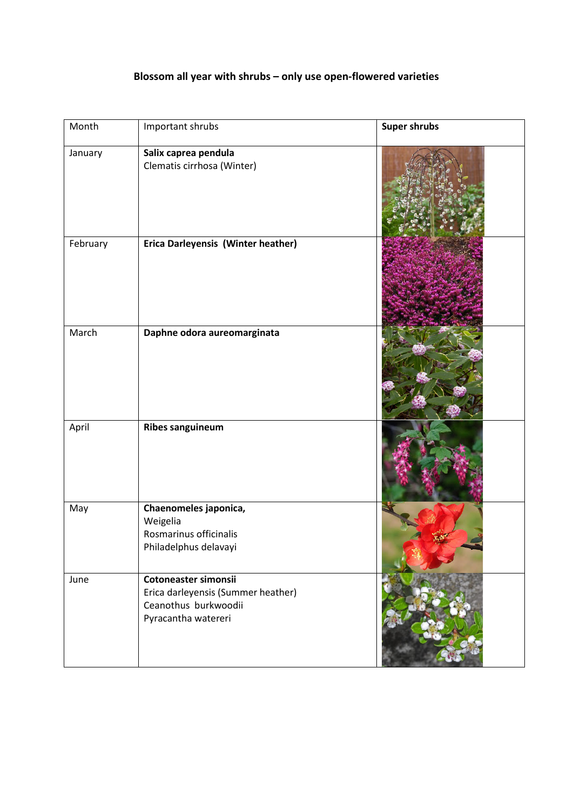## **Blossom all year with shrubs – only use open-flowered varieties**

| Month    | Important shrubs                                                                                          | <b>Super shrubs</b> |
|----------|-----------------------------------------------------------------------------------------------------------|---------------------|
| January  | Salix caprea pendula<br>Clematis cirrhosa (Winter)                                                        |                     |
| February | Erica Darleyensis (Winter heather)                                                                        |                     |
| March    | Daphne odora aureomarginata                                                                               |                     |
| April    | <b>Ribes sanguineum</b>                                                                                   |                     |
| May      | Chaenomeles japonica,<br>Weigelia<br>Rosmarinus officinalis<br>Philadelphus delavayi                      |                     |
| June     | Cotoneaster simonsii<br>Erica darleyensis (Summer heather)<br>Ceanothus burkwoodii<br>Pyracantha watereri |                     |